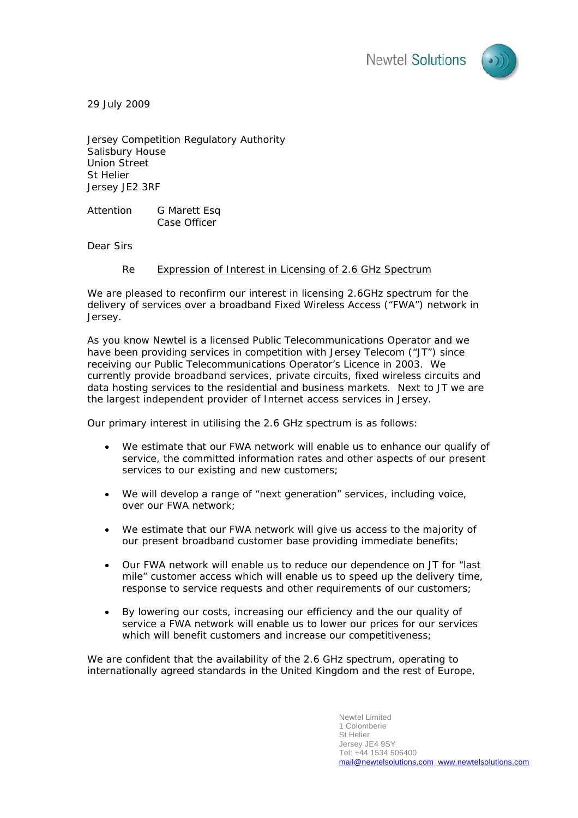

29 July 2009

Jersey Competition Regulatory Authority Salisbury House Union Street St Helier Jersey JE2 3RF

Attention G Marett Esq Case Officer

Dear Sirs

## Re Expression of Interest in Licensing of 2.6 GHz Spectrum

We are pleased to reconfirm our interest in licensing 2.6GHz spectrum for the delivery of services over a broadband Fixed Wireless Access ("FWA") network in Jersey.

As you know Newtel is a licensed Public Telecommunications Operator and we have been providing services in competition with Jersey Telecom ("JT") since receiving our Public Telecommunications Operator's Licence in 2003. We currently provide broadband services, private circuits, fixed wireless circuits and data hosting services to the residential and business markets. Next to JT we are the largest independent provider of Internet access services in Jersey.

Our primary interest in utilising the 2.6 GHz spectrum is as follows:

- We estimate that our FWA network will enable us to enhance our qualify of service, the committed information rates and other aspects of our present services to our existing and new customers;
- We will develop a range of "next generation" services, including voice, over our FWA network;
- We estimate that our FWA network will give us access to the majority of our present broadband customer base providing immediate benefits;
- Our FWA network will enable us to reduce our dependence on JT for "last mile" customer access which will enable us to speed up the delivery time, response to service requests and other requirements of our customers;
- By lowering our costs, increasing our efficiency and the our quality of service a FWA network will enable us to lower our prices for our services which will benefit customers and increase our competitiveness;

We are confident that the availability of the 2.6 GHz spectrum, operating to internationally agreed standards in the United Kingdom and the rest of Europe,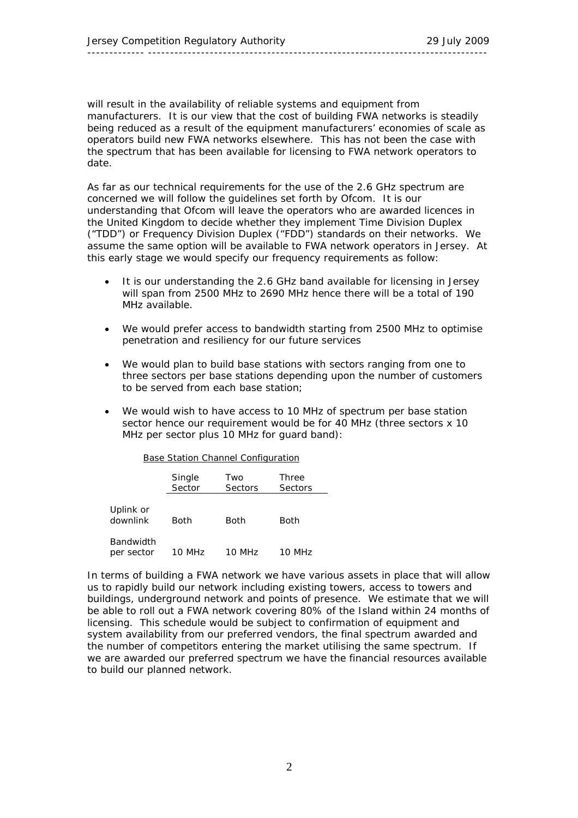will result in the availability of reliable systems and equipment from manufacturers. It is our view that the cost of building FWA networks is steadily being reduced as a result of the equipment manufacturers' economies of scale as operators build new FWA networks elsewhere. This has not been the case with the spectrum that has been available for licensing to FWA network operators to date.

As far as our technical requirements for the use of the 2.6 GHz spectrum are concerned we will follow the guidelines set forth by Ofcom. It is our understanding that Ofcom will leave the operators who are awarded licences in the United Kingdom to decide whether they implement Time Division Duplex ("TDD") or Frequency Division Duplex ("FDD") standards on their networks. We assume the same option will be available to FWA network operators in Jersey. At this early stage we would specify our frequency requirements as follow:

- It is our understanding the 2.6 GHz band available for licensing in Jersey will span from 2500 MHz to 2690 MHz hence there will be a total of 190 MHz available.
- We would prefer access to bandwidth starting from 2500 MHz to optimise penetration and resiliency for our future services
- We would plan to build base stations with sectors ranging from one to three sectors per base stations depending upon the number of customers to be served from each base station;
- We would wish to have access to 10 MHz of spectrum per base station sector hence our requirement would be for 40 MHz (three sectors x 10 MHz per sector plus 10 MHz for guard band):

|                         | Single<br>Sector | Two<br>Sectors | <b>Three</b><br>Sectors |
|-------------------------|------------------|----------------|-------------------------|
| Uplink or<br>downlink   | Both             | Both           | <b>Both</b>             |
| Bandwidth<br>per sector | 10 MHz           | 10 MHz         | MHz                     |

Base Station Channel Configuration

In terms of building a FWA network we have various assets in place that will allow us to rapidly build our network including existing towers, access to towers and buildings, underground network and points of presence. We estimate that we will be able to roll out a FWA network covering 80% of the Island within 24 months of licensing. This schedule would be subject to confirmation of equipment and system availability from our preferred vendors, the final spectrum awarded and the number of competitors entering the market utilising the same spectrum. If we are awarded our preferred spectrum we have the financial resources available to build our planned network.